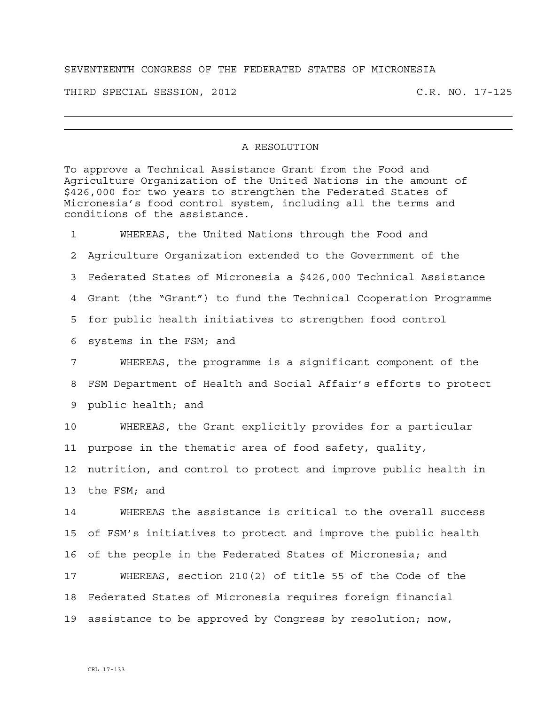## SEVENTEENTH CONGRESS OF THE FEDERATED STATES OF MICRONESIA

THIRD SPECIAL SESSION, 2012 C.R. NO. 17-125

## A RESOLUTION

To approve a Technical Assistance Grant from the Food and Agriculture Organization of the United Nations in the amount of \$426,000 for two years to strengthen the Federated States of Micronesia's food control system, including all the terms and conditions of the assistance.

1 WHEREAS, the United Nations through the Food and 2 Agriculture Organization extended to the Government of the 3 Federated States of Micronesia a \$426,000 Technical Assistance 4 Grant (the "Grant") to fund the Technical Cooperation Programme 5 for public health initiatives to strengthen food control 6 systems in the FSM; and 7 WHEREAS, the programme is a significant component of the 8 FSM Department of Health and Social Affair's efforts to protect 9 public health; and

10 WHEREAS, the Grant explicitly provides for a particular 11 purpose in the thematic area of food safety, quality,

12 nutrition, and control to protect and improve public health in 13 the FSM; and

14 WHEREAS the assistance is critical to the overall success 15 of FSM's initiatives to protect and improve the public health 16 of the people in the Federated States of Micronesia; and

17 WHEREAS, section 210(2) of title 55 of the Code of the 18 Federated States of Micronesia requires foreign financial 19 assistance to be approved by Congress by resolution; now,